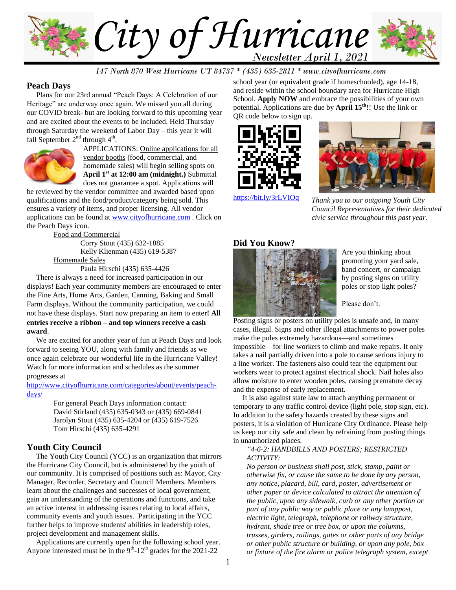

*147 North 870 West Hurricane UT 84737 \* (435) 635-2811 \* www.cityofhurricane.com*

### **Peach Days**

 Plans for our 23rd annual "Peach Days: A Celebration of our Heritage" are underway once again. We missed you all during our COVID break- but are looking forward to this upcoming year and are excited about the events to be included. Held Thursday through Saturday the weekend of Labor Day – this year it will fall September  $2^{nd}$  through  $4^{th}$ .



APPLICATIONS: Online applications for all vendor booths (food, commercial, and homemade sales) will begin selling spots on **April 1st at 12:00 am (midnight.)** Submittal does not guarantee a spot. Applications will

be reviewed by the vendor committee and awarded based upon qualifications and the food/product/category being sold. This ensures a variety of items, and proper licensing. All vendor applications can be found at [www.cityofhurricane.com](http://www.cityofhurricane.com/) . Click on the Peach Days icon.

Food and Commercial

Corry Stout (435) 632-1885 Kelly Klienman (435) 619-5387 Homemade Sales

Paula Hirschi (435) 635-4426

 There is always a need for increased participation in our displays! Each year community members are encouraged to enter the Fine Arts, Home Arts, Garden, Canning, Baking and Small Farm displays. Without the community participation, we could not have these displays. Start now preparing an item to enter**! All entries receive a ribbon – and top winners receive a cash award**.

 We are excited for another year of fun at Peach Days and look forward to seeing YOU, along with family and friends as we once again celebrate our wonderful life in the Hurricane Valley! Watch for more information and schedules as the summer progresses at

#### [http://www.cityofhurricane.com/categories/about/events/peach](http://www.cityofhurricane.com/categories/about/events/peach-days/)[days/](http://www.cityofhurricane.com/categories/about/events/peach-days/)

For general Peach Days information contact: David Stirland (435) 635-0343 or (435) 669-0841 Jarolyn Stout (435) 635-4204 or (435) 619-7526 Tom Hirschi (435) 635-4291

### **Youth City Council**

 The Youth City Council (YCC) is an organization that mirrors the Hurricane City Council, but is administered by the youth of our community. It is comprised of positions such as: Mayor, City Manager, Recorder, Secretary and Council Members. Members learn about the challenges and successes of local government, gain an understanding of the operations and functions, and take an active interest in addressing issues relating to local affairs, community events and youth issues. Participating in the YCC further helps to improve students' abilities in leadership roles, project development and management skills.

 Applications are currently open for the following school year. Anyone interested must be in the  $9<sup>th</sup>$ -12<sup>th</sup> grades for the 2021-22

school year (or equivalent grade if homeschooled), age 14-18, and reside within the school boundary area for Hurricane High School. **Apply NOW** and embrace the possibilities of your own potential. Applications are due by **April 15th**!! Use the link or QR code below to sign up.





*Thank you to our outgoing Youth City Council Representatives for their dedicated civic service throughout this past year.*

# **Did You Know?**



Are you thinking about promoting your yard sale, band concert, or campaign by posting signs on utility poles or stop light poles?

Please don't.

[Posting signs or posters on utility p](https://stories.pplelectric.com/wp-content/uploads/2017/12/insidepolestaple.jpg)oles is unsafe and, in many cases, illegal. Signs and other illegal attachments to power poles make the poles extremely hazardous—and sometimes impossible—for line workers to climb and make repairs. It only

takes a nail partially driven into a pole to cause serious injury to a line worker. The fasteners also could tear the equipment our workers wear to protect against electrical shock. Nail holes also allow moisture to enter wooden poles, causing premature decay and the expense of early replacement.

 It is also against state law to attach anything permanent or temporary to any traffic control device (light pole, stop sign, etc). In addition to the safety hazards created by these signs and posters, it is a violation of Hurricane City Ordinance. Please help us keep our city safe and clean by refraining from posting things in unauthorized places.

### *"4-6-2: HANDBILLS AND POSTERS; RESTRICTED ACTIVITY:*

*No person or business shall post, stick, stamp, paint or otherwise fix, or cause the same to be done by any person, any notice, placard, bill, card, poster, advertisement or other paper or device calculated to attract the attention of the public, upon any sidewalk, curb or any other portion or part of any public way or public place or any lamppost, electric light, telegraph, telephone or railway structure, hydrant, shade tree or tree box, or upon the columns, trusses, girders, railings, gates or other parts of any bridge or other public structure or building, or upon any pole, box or fixture of the fire alarm or police telegraph system, except*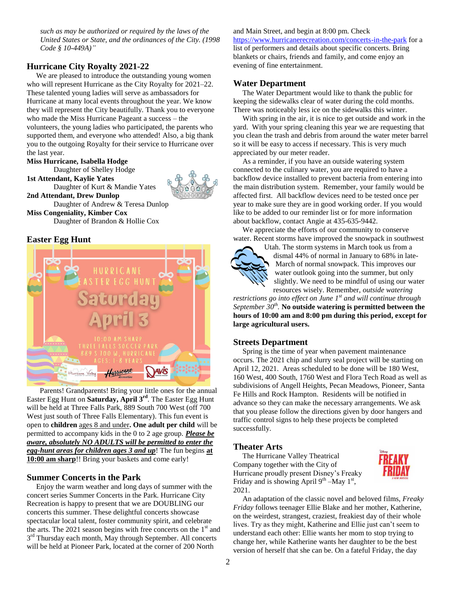*such as may be authorized or required by the laws of the United States or State, and the ordinances of the City. (1998 Code § 10-449A)"*

## **Hurricane City Royalty 2021-22**

 We are pleased to introduce the outstanding young women who will represent Hurricane as the City Royalty for 2021–22. These talented young ladies will serve as ambassadors for Hurricane at many local events throughout the year. We know they will represent the City beautifully. Thank you to everyone who made the Miss Hurricane Pageant a success – the volunteers, the young ladies who participated, the parents who supported them, and everyone who attended! Also, a big thank you to the outgoing Royalty for their service to Hurricane over the last year.

**Miss Hurricane, Isabella Hodge**

**2nd Attendant, Drew Dunlop**

Daughter of Shelley Hodge **1st Attendant, Kaylie Yates**

Daughter of Kurt & Mandie Yates

Daughter of Andrew & Teresa Dunlop **Miss Congeniality, Kimber Cox** Daughter of Brandon & Hollie Cox

## **Easter Egg Hunt**



 Parents! Grandparents! Bring your little ones for the annual Easter Egg Hunt on **Saturday, April 3 rd**. The Easter Egg Hunt will be held at Three Falls Park, 889 South 700 West (off 700 West just south of Three Falls Elementary). This fun event is open to **children** ages 8 and under**. One adult per child** will be permitted to accompany kids in the 0 to 2 age group. *Please be aware, absolutely NO ADULTS will be permitted to enter the egg-hunt areas for children ages 3 and up*! The fun begins **at 10:00 am sharp**!! Bring your baskets and come early!

# **Summer Concerts in the Park**

 Enjoy the warm weather and long days of summer with the concert series Summer Concerts in the Park. Hurricane City Recreation is happy to present that we are DOUBLING our concerts this summer. These delightful concerts showcase spectacular local talent, foster community spirit, and celebrate the arts. The 2021 season begins with free concerts on the 1<sup>st</sup> and 3<sup>rd</sup> Thursday each month, May through September. All concerts will be held at Pioneer Park, located at the corner of 200 North

and Main Street, and begin at 8:00 pm. Check <https://www.hurricanerecreation.com/concerts-in-the-park> for a list of performers and details about specific concerts. Bring blankets or chairs, friends and family, and come enjoy an evening of fine entertainment.

## **Water Department**

 The Water Department would like to thank the public for keeping the sidewalks clear of water during the cold months. There was noticeably less ice on the sidewalks this winter.

 With spring in the air, it is nice to get outside and work in the yard. With your spring cleaning this year we are requesting that you clean the trash and debris from around the water meter barrel so it will be easy to access if necessary. This is very much appreciated by our meter reader.

 As a reminder, if you have an outside watering system connected to the culinary water, you are required to have a backflow device installed to prevent bacteria from entering into the main distribution system. Remember, your family would be affected first. All backflow devices need to be tested once per year to make sure they are in good working order. If you would like to be added to our reminder list or for more information about backflow, contact Angie at 435-635-9442.

 We appreciate the efforts of our community to conserve water. Recent storms have improved the snowpack in southwest



Utah. The storm systems in March took us from a dismal 44% of normal in January to 68% in late-March of normal snowpack. This improves our water outlook going into the summer, but only slightly. We need to be mindful of using our water resources wisely. Remember, *outside watering* 

*restrictions go into effect on June 1st and will continue through September 30th .* **No outside watering is permitted between the hours of 10:00 am and 8:00 pm during this period, except for large agricultural users.**

## **Streets Department**

 Spring is the time of year when pavement maintenance occurs. The 2021 chip and slurry seal project will be starting on April 12, 2021. Areas scheduled to be done will be 180 West, 160 West, 400 South, 1760 West and Flora Tech Road as well as subdivisions of Angell Heights, Pecan Meadows, Pioneer, Santa Fe Hills and Rock Hampton. Residents will be notified in advance so they can make the necessary arrangements. We ask that you please follow the directions given by door hangers and traffic control signs to help these projects be completed successfully.

### **Theater Arts**

 The Hurricane Valley Theatrical Company together with the City of Hurricane proudly present Disney's Freaky Friday and is showing April  $9<sup>th</sup>$  –May  $1<sup>st</sup>$ , 2021.



 An adaptation of the classic novel and beloved films, *Freaky Friday* follows teenager Ellie Blake and her mother, Katherine, on the weirdest, strangest, craziest, freakiest day of their whole lives. Try as they might, Katherine and Ellie just can't seem to understand each other: Ellie wants her mom to stop trying to change her, while Katherine wants her daughter to be the best version of herself that she can be. On a fateful Friday, the day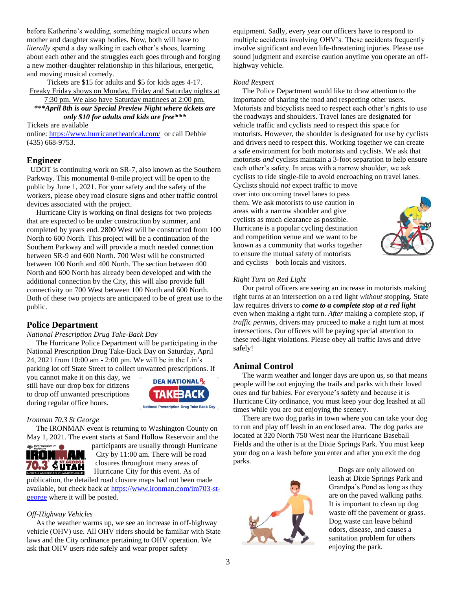before Katherine's wedding, something magical occurs when mother and daughter swap bodies. Now, both will have to *literally* spend a day walking in each other's shoes, learning about each other and the struggles each goes through and forging a new mother-daughter relationship in this hilarious, energetic, and moving musical comedy.

Tickets are \$15 for adults and \$5 for kids ages 4-17. Freaky Friday shows on Monday, Friday and Saturday nights at

7:30 pm. We also have Saturday matinees at 2:00 pm. *\*\*\*April 8th is our Special Preview Night where tickets are only \$10 for adults and kids are free\*\*\**

Tickets are available

online: <https://www.hurricanetheatrical.com/> or call Debbie (435) 668-9753.

## **Engineer**

 UDOT is continuing work on SR-7, also known as the Southern Parkway. This monumental 8-mile project will be open to the public by June 1, 2021. For your safety and the safety of the workers, please obey road closure signs and other traffic control devices associated with the project.

 Hurricane City is working on final designs for two projects that are expected to be under construction by summer, and completed by years end. 2800 West will be constructed from 100 North to 600 North. This project will be a continuation of the Southern Parkway and will provide a much needed connection between SR-9 and 600 North. 700 West will be constructed between 100 North and 400 North. The section between 400 North and 600 North has already been developed and with the additional connection by the City, this will also provide full connectivity on 700 West between 100 North and 600 North. Both of these two projects are anticipated to be of great use to the public.

# **Police Department**

### *National Prescription Drug Take-Back Day*

 The Hurricane Police Department will be participating in the National Prescription Drug Take-Back Day on Saturday, April 24, 2021 from 10:00 am - 2:00 pm. We will be in the Lin's parking lot off State Street to collect unwanted prescriptions. If

you cannot make it on this day, we still have our drop box for citizens to drop off unwanted prescriptions during regular office hours.



### *Ironman 70.3 St George*

 The IRONMAN event is returning to Washington County on May 1, 2021. The event starts at Sand Hollow Reservoir and the



participants are usually through Hurricane City by 11:00 am. There will be road closures throughout many areas of Hurricane City for this event. As of

publication, the detailed road closure maps had not been made available, but check back at [https://www.ironman.com/im703-st](https://www.ironman.com/im703-st-george)[george](https://www.ironman.com/im703-st-george) where it will be posted.

### *Off-Highway Vehicles*

 As the weather warms up, we see an increase in off-highway vehicle (OHV) use. All OHV riders should be familiar with State laws and the City ordinance pertaining to OHV operation. We ask that OHV users ride safely and wear proper safety

equipment. Sadly, every year our officers have to respond to multiple accidents involving OHV's. These accidents frequently involve significant and even life-threatening injuries. Please use sound judgment and exercise caution anytime you operate an offhighway vehicle.

#### *Road Respect*

 The Police Department would like to draw attention to the importance of sharing the road and respecting other users. Motorists and bicyclists need to respect each other's rights to use the roadways and shoulders. Travel lanes are designated for vehicle traffic and cyclists need to respect this space for motorists. However, the shoulder is designated for use by cyclists and drivers need to respect this. Working together we can create a safe environment for both motorists and cyclists. We ask that motorists *and* cyclists maintain a 3-foot separation to help ensure each other's safety. In areas with a narrow shoulder, we ask cyclists to ride single-file to avoid encroaching on travel lanes. Cyclists should *not* expect traffic to move

over into oncoming travel lanes to pass them. We ask motorists to use caution in areas with a narrow shoulder and give cyclists as much clearance as possible. Hurricane is a popular cycling destination and competition venue and we want to be known as a community that works together to ensure the mutual safety of motorists and cyclists – both locals and visitors.



### *Right Turn on Red Light*

 Our patrol officers are seeing an increase in motorists making right turns at an intersection on a red light *without* stopping. State law requires drivers to *come to a complete stop at a red light* even when making a right turn. *After* making a complete stop, *if traffic permits*, drivers may proceed to make a right turn at most intersections. Our officers will be paying special attention to these red-light violations. Please obey all traffic laws and drive safely!

## **Animal Control**

 The warm weather and longer days are upon us, so that means people will be out enjoying the trails and parks with their loved ones and fur babies. For everyone's safety and because it is Hurricane City ordinance, you must keep your dog leashed at all times while you are out enjoying the scenery.

 There are two dog parks in town where you can take your dog to run and play off leash in an enclosed area. The dog parks are located at 320 North 750 West near the Hurricane Baseball Fields and the other is at the Dixie Springs Park. You must keep your dog on a leash before you enter and after you exit the dog parks.



 Dogs are only allowed on leash at Dixie Springs Park and Grandpa's Pond as long as they are on the paved walking paths. It is important to clean up dog waste off the pavement or grass. Dog waste can leave behind odors, disease, and causes a sanitation problem for others enjoying the park.